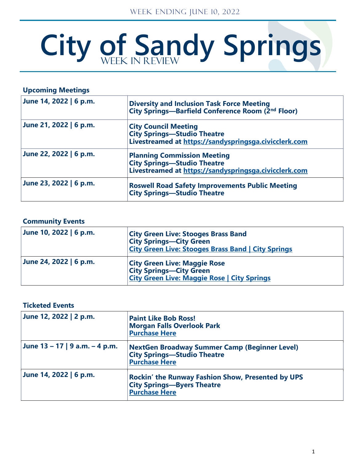# City of Sandy Springs

| <b>Upcoming Meetings</b> |                                                                                                                            |
|--------------------------|----------------------------------------------------------------------------------------------------------------------------|
| June 14, 2022   6 p.m.   | <b>Diversity and Inclusion Task Force Meeting</b><br>City Springs—Barfield Conference Room (2nd Floor)                     |
| June 21, 2022   6 p.m.   | <b>City Council Meeting</b><br><b>City Springs-Studio Theatre</b><br>Livestreamed at https://sandyspringsga.civicclerk.com |
| June 22, 2022   6 p.m.   | <b>Planning Commission Meeting</b>                                                                                         |
| June 23, 2022   6 p.m.   | <b>Roswell Road Safety Improvements Public Meeting</b><br><b>City Springs-Studio Theatre</b>                               |

## **Community Events**

| June 10, 2022   6 p.m. | <b>City Green Live: Stooges Brass Band</b><br><b>City Springs-City Green</b><br><b>City Green Live: Stooges Brass Band   City Springs</b> |
|------------------------|-------------------------------------------------------------------------------------------------------------------------------------------|
| June 24, 2022   6 p.m. | <b>City Green Live: Maggie Rose</b><br><b>City Springs-City Green</b><br><b>City Green Live: Maggie Rose   City Springs</b>               |

## **Ticketed Events**

| June 12, 2022   2 p.m.            | <b>Paint Like Bob Ross!</b><br><b>Morgan Falls Overlook Park</b><br><b>Purchase Here</b>                       |
|-----------------------------------|----------------------------------------------------------------------------------------------------------------|
| June $13 - 17$   9 a.m. $-4$ p.m. | NextGen Broadway Summer Camp (Beginner Level)<br><b>City Springs—Studio Theatre</b><br><b>Purchase Here</b>    |
| June 14, 2022   6 p.m.            | Rockin' the Runway Fashion Show, Presented by UPS<br><b>City Springs-Byers Theatre</b><br><b>Purchase Here</b> |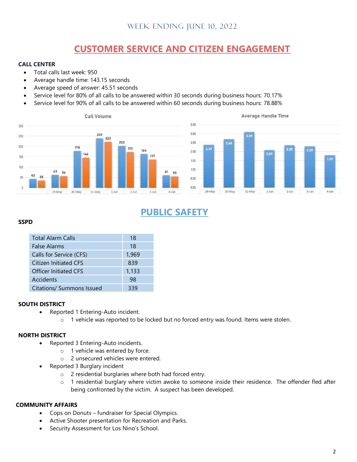# **CUSTOMER SERVICE AND CITIZEN ENGAGEMENT**

#### **CALL CENTER**

- Total calls last week: 950
- Average handle time: 143.15 seconds
- Average speed of answer: 45.51 seconds
- Service level for 80% of all calls to be answered within 30 seconds during business hours: 70.17%
- Service level for 90% of all calls to be answered within 60 seconds during business hours: 78.88%





# **PUBLIC SAFETY**

#### **SSPD**

| <b>Total Alarm Calls</b>     | 18    |
|------------------------------|-------|
| <b>False Alarms</b>          | 18    |
| Calls for Service (CFS)      | 1,969 |
| <b>Citizen Initiated CFS</b> | 839   |
| <b>Officer Initiated CFS</b> | 1,133 |
| Accidents                    | 98    |
| Citations/ Summons Issued    | 339   |

#### **SOUTH DISTRICT**

- Reported 1 Entering-Auto incident.
	- o 1 vehicle was reported to be locked but no forced entry was found. Items were stolen.

#### **NORTH DISTRICT**

- Reported 3 Entering-Auto incidents.
	- o 1 vehicle was entered by force.
	- o 2 unsecured vehicles were entered.
- Reported 3 Burglary incident
	- o 2 residential burglaries where both had forced entry.
	- o 1 residential burglary where victim awoke to someone inside their residence. The offender fled after being confronted by the victim. A suspect has been developed.

#### **COMMUNITY AFFAIRS**

- Cops on Donuts fundraiser for Special Olympics.
- Active Shooter presentation for Recreation and Parks.
- Security Assessment for Los Nino's School.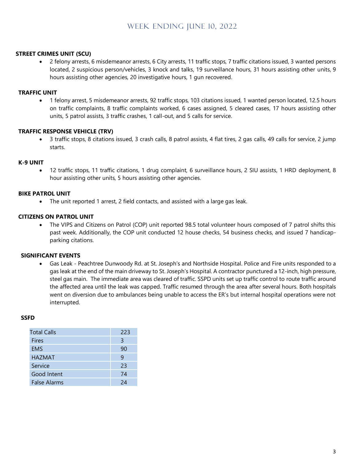#### **STREET CRIMES UNIT (SCU)**

• 2 felony arrests, 6 misdemeanor arrests, 6 City arrests, 11 traffic stops, 7 traffic citations issued, 3 wanted persons located, 2 suspicious person/vehicles, 3 knock and talks, 19 surveillance hours, 31 hours assisting other units, 9 hours assisting other agencies, 20 investigative hours, 1 gun recovered.

#### **TRAFFIC UNIT**

• 1 felony arrest, 5 misdemeanor arrests, 92 traffic stops, 103 citations issued, 1 wanted person located, 12.5 hours on traffic complaints, 8 traffic complaints worked, 6 cases assigned, 5 cleared cases, 17 hours assisting other units, 5 patrol assists, 3 traffic crashes, 1 call-out, and 5 calls for service.

#### **TRAFFIC RESPONSE VEHICLE (TRV)**

• 3 traffic stops, 8 citations issued, 3 crash calls, 8 patrol assists, 4 flat tires, 2 gas calls, 49 calls for service, 2 jump starts.

#### **K-9 UNIT**

• 12 traffic stops, 11 traffic citations, 1 drug complaint, 6 surveillance hours, 2 SIU assists, 1 HRD deployment, 8 hour assisting other units, 5 hours assisting other agencies.

#### **BIKE PATROL UNIT**

• The unit reported 1 arrest, 2 field contacts, and assisted with a large gas leak.

#### **CITIZENS ON PATROL UNIT**

• The VIPS and Citizens on Patrol (COP) unit reported 98.5 total volunteer hours composed of 7 patrol shifts this past week. Additionally, the COP unit conducted 12 house checks, 54 business checks, and issued 7 handicapparking citations.

#### **SIGNIFICANT EVENTS**

• Gas Leak - Peachtree Dunwoody Rd. at St. Joseph's and Northside Hospital. Police and Fire units responded to a gas leak at the end of the main driveway to St. Joseph's Hospital. A contractor punctured a 12-inch, high pressure, steel gas main. The immediate area was cleared of traffic. SSPD units set up traffic control to route traffic around the affected area until the leak was capped. Traffic resumed through the area after several hours. Both hospitals went on diversion due to ambulances being unable to access the ER's but internal hospital operations were not interrupted.

#### **SSFD**

| <b>Total Calls</b>  | 223 |
|---------------------|-----|
| Fires               | 3   |
| <b>EMS</b>          | 90  |
| <b>HAZMAT</b>       | 9   |
| Service             | 23  |
| Good Intent         | 74  |
| <b>False Alarms</b> | 2Δ  |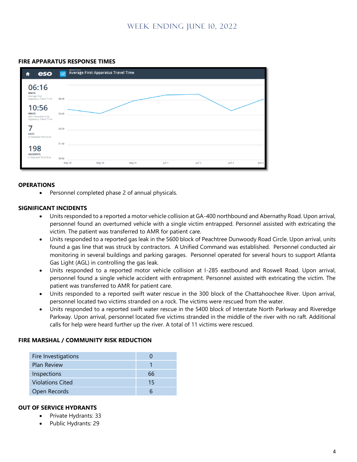#### **FIRE APPARATUS RESPONSE TIMES**



#### **OPERATIONS**

• Personnel completed phase 2 of annual physicals.

#### **SIGNIFICANT INCIDENTS**

- Units responded to a reported a motor vehicle collision at GA-400 northbound and Abernathy Road. Upon arrival, personnel found an overturned vehicle with a single victim entrapped. Personnel assisted with extricating the victim. The patient was transferred to AMR for patient care.
- Units responded to a reported gas leak in the 5600 block of Peachtree Dunwoody Road Circle. Upon arrival, units found a gas line that was struck by contractors. A Unified Command was established. Personnel conducted air monitoring in several buildings and parking garages. Personnel operated for several hours to support Atlanta Gas Light (AGL) in controlling the gas leak.
- Units responded to a reported motor vehicle collision at I-285 eastbound and Roswell Road. Upon arrival, personnel found a single vehicle accident with entrapment. Personnel assisted with extricating the victim. The patient was transferred to AMR for patient care.
- Units responded to a reported swift water rescue in the 300 block of the Chattahoochee River. Upon arrival, personnel located two victims stranded on a rock. The victims were rescued from the water.
- Units responded to a reported swift water rescue in the 5400 block of Interstate North Parkway and Riveredge Parkway. Upon arrival, personnel located five victims stranded in the middle of the river with no raft. Additional calls for help were heard further up the river. A total of 11 victims were rescued.

#### **FIRE MARSHAL / COMMUNITY RISK REDUCTION**

| 66 |
|----|
| 15 |
|    |
|    |

#### **OUT OF SERVICE HYDRANTS**

- Private Hydrants: 33
- Public Hydrants: 29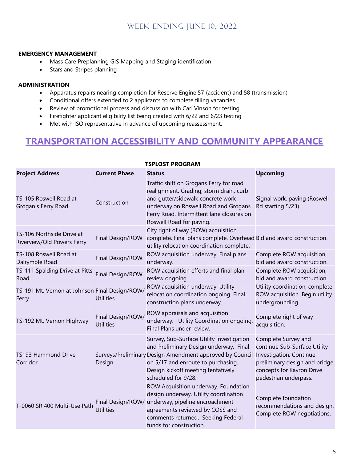#### **EMERGENCY MANAGEMENT**

- Mass Care Preplanning GIS Mapping and Staging identification
- Stars and Stripes planning

#### **ADMINISTRATION**

- Apparatus repairs nearing completion for Reserve Engine 57 (accident) and 58 (transmission)
- Conditional offers extended to 2 applicants to complete filling vacancies
- Review of promotional process and discussion with Carl Vinson for testing
- Firefighter applicant eligibility list being created with 6/22 and 6/23 testing
- Met with ISO representative in advance of upcoming reassessment.

# **TRANSPORTATION ACCESSIBILITY AND COMMUNITY APPEARANCE**

| <b>Project Address</b>                                  | <b>Current Phase</b>                  | <b>Status</b>                                                                                                                                                                                                                                      | <b>Upcoming</b>                                                                                                                                                       |
|---------------------------------------------------------|---------------------------------------|----------------------------------------------------------------------------------------------------------------------------------------------------------------------------------------------------------------------------------------------------|-----------------------------------------------------------------------------------------------------------------------------------------------------------------------|
| TS-105 Roswell Road at<br>Grogan's Ferry Road           | Construction                          | Traffic shift on Grogans Ferry for road<br>realignment. Grading, storm drain, curb<br>and qutter/sidewalk concrete work<br>underway on Roswell Road and Grogans<br>Ferry Road. Intermittent lane closures on<br>Roswell Road for paving.           | Signal work, paving (Roswell<br>Rd starting 5/23).                                                                                                                    |
| TS-106 Northside Drive at<br>Riverview/Old Powers Ferry | Final Design/ROW                      | City right of way (ROW) acquisition<br>complete. Final plans complete. Overhead Bid and award construction.<br>utility relocation coordination complete.                                                                                           |                                                                                                                                                                       |
| TS-108 Roswell Road at<br>Dalrymple Road                | Final Design/ROW                      | ROW acquisition underway. Final plans<br>underway.                                                                                                                                                                                                 | Complete ROW acquisition,<br>bid and award construction.                                                                                                              |
| TS-111 Spalding Drive at Pitts<br>Road                  | Final Design/ROW                      | ROW acquisition efforts and final plan<br>review ongoing.                                                                                                                                                                                          | Complete ROW acquisition,<br>bid and award construction.                                                                                                              |
| TS-191 Mt. Vernon at Johnson Final Design/ROW/<br>Ferry | <b>Utilities</b>                      | ROW acquisition underway. Utility<br>relocation coordination ongoing. Final<br>construction plans underway.                                                                                                                                        | Utility coordination, complete<br>ROW acquisition. Begin utility<br>undergrounding.                                                                                   |
| TS-192 Mt. Vernon Highway                               | Final Design/ROW/<br><b>Utilities</b> | ROW appraisals and acquisition<br>underway. Utility Coordination ongoing.<br>Final Plans under review.                                                                                                                                             | Complete right of way<br>acquisition.                                                                                                                                 |
| TS193 Hammond Drive<br>Corridor                         | Design                                | Survey, Sub-Surface Utility Investigation<br>and Preliminary Design underway. Final<br>Surveys/Preliminary Design Amendment approved by Council<br>on 5/17 and enroute to purchasing.<br>Design kickoff meeting tentatively<br>scheduled for 9/28. | Complete Survey and<br>continue Sub-Surface Utility<br>Investigation. Continue<br>preliminary design and bridge<br>concepts for Kayron Drive<br>pedestrian underpass. |
| T-0060 SR 400 Multi-Use Path                            | <b>Utilities</b>                      | ROW Acquisition underway. Foundation<br>design underway. Utility coordination<br>Final Design/ROW/ underway, pipeline encroachment<br>agreements reviewed by COSS and<br>comments returned. Seeking Federal<br>funds for construction.             | Complete foundation<br>recommendations and design.<br>Complete ROW negotiations.                                                                                      |

#### **TSPLOST PROGRAM**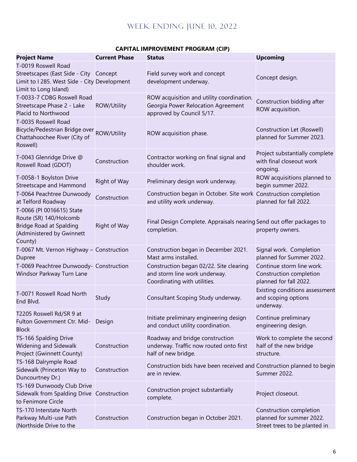| <b>Project Name</b>                                                                                                                    | <b>Current Phase</b> | <b>Status</b>                                                                                                | <b>Upcoming</b>                                                                      |  |
|----------------------------------------------------------------------------------------------------------------------------------------|----------------------|--------------------------------------------------------------------------------------------------------------|--------------------------------------------------------------------------------------|--|
| T-0019 Roswell Road<br>Streetscapes (East Side - City Concept<br>Limit to I 285. West Side - City Development<br>Limit to Long Island) |                      | Field survey work and concept<br>development underway.                                                       | Concept design.                                                                      |  |
| T-0033-7 CDBG Roswell Road<br>Streetscape Phase 2 - Lake<br>Placid to Northwood                                                        | ROW/Utility          | ROW acquisition and utility coordination.<br>Georgia Power Relocation Agreement<br>approved by Council 5/17. | Construction bidding after<br>ROW acquisition.                                       |  |
| T-0035 Roswell Road<br>Bicycle/Pedestrian Bridge over ROW/Utility<br>Chattahoochee River (City of<br>Roswell)                          |                      | ROW acquisition phase.                                                                                       | Construction Let (Roswell)<br>planned for Summer 2023.                               |  |
| T-0043 Glenridge Drive @<br>Roswell Road (GDOT)                                                                                        | Construction         | Contractor working on final signal and<br>shoulder work.                                                     | Project substantially complete<br>with final closeout work<br>ongoing.               |  |
| T-0058-1 Boylston Drive<br>Streetscape and Hammond                                                                                     | Right of Way         | Preliminary design work underway.                                                                            | ROW acquisitions planned to<br>begin summer 2022.                                    |  |
| T-0064 Peachtree Dunwoody<br>at Telford Roadway                                                                                        | Construction         | Construction began in October. Site work Construction completion<br>and utility work underway.               | planned for fall 2022.                                                               |  |
| T-0066 (PI 0016615) State<br>Route (SR) 140/Holcomb<br><b>Bridge Road at Spalding</b><br>(Administered by Gwinnett<br>County)          | Right of Way         | Final Design Complete. Appraisals nearing Send out offer packages to<br>completion.                          | property owners.                                                                     |  |
| T-0067 Mt. Vernon Highway - Construction<br>Dupree                                                                                     |                      | Construction began in December 2021.<br>Mast arms installed.                                                 | Signal work. Completion<br>planned for Summer 2022.                                  |  |
| T-0069 Peachtree Dunwoody- Construction<br>Windsor Parkway Turn Lane                                                                   |                      | Construction began 02/22. Site clearing<br>and storm line work underway.<br>Coordinating with utilities.     | Continue storm line work.<br>Construction completion<br>planned for fall 2022.       |  |
| T-0071 Roswell Road North<br>End Blvd.                                                                                                 | Study                | Consultant Scoping Study underway.                                                                           | Existing conditions assessment<br>and scoping options<br>underway.                   |  |
| T2205 Roswell Rd/SR 9 at<br>Fulton Government Ctr. Mid-<br><b>Block</b>                                                                | Design               | Initiate preliminary engineering design<br>and conduct utility coordination.                                 | Continue preliminary<br>engineering design.                                          |  |
| TS-166 Spalding Drive<br>Widening and Sidewalk<br>Project (Gwinnett County)                                                            | Construction         | Roadway and bridge construction<br>underway. Traffic now routed onto first<br>half of new bridge.            | Work to complete the second<br>half of the new bridge<br>structure.                  |  |
| TS-168 Dalrymple Road<br>Sidewalk (Princeton Way to<br>Duncourtney Dr.)                                                                | Construction         | Construction bids have been received and Construction planned to begin<br>are in review.                     | Summer 2022.                                                                         |  |
| TS-169 Dunwoody Club Drive<br>Sidewalk from Spalding Drive Construction<br>to Fenimore Circle                                          |                      | Construction project substantially<br>complete.                                                              | Project closeout.                                                                    |  |
| TS-170 Interstate North<br>Parkway Multi-use Path<br>(Northside Drive to the                                                           | Construction         | Construction began in October 2021.                                                                          | Construction completion<br>planned for summer 2022.<br>Street trees to be planted in |  |

## **CAPITAL IMPROVEMENT PROGRAM (CIP)**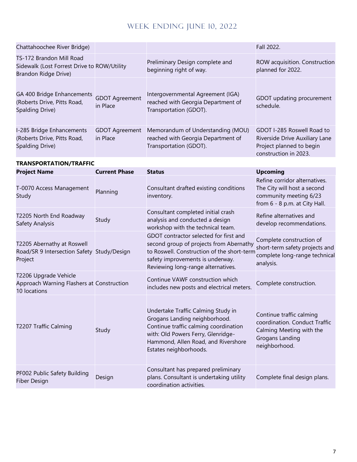| Chattahoochee River Bridge)                                                                     |                                   |                                                                                                                                                                                                                     | Fall 2022.                                                                                                                |
|-------------------------------------------------------------------------------------------------|-----------------------------------|---------------------------------------------------------------------------------------------------------------------------------------------------------------------------------------------------------------------|---------------------------------------------------------------------------------------------------------------------------|
| TS-172 Brandon Mill Road<br>Sidewalk (Lost Forrest Drive to ROW/Utility<br>Brandon Ridge Drive) |                                   | Preliminary Design complete and<br>beginning right of way.                                                                                                                                                          | ROW acquisition. Construction<br>planned for 2022.                                                                        |
| GA 400 Bridge Enhancements<br>(Roberts Drive, Pitts Road,<br>Spalding Drive)                    | <b>GDOT Agreement</b><br>in Place | Intergovernmental Agreement (IGA)<br>reached with Georgia Department of<br>Transportation (GDOT).                                                                                                                   | GDOT updating procurement<br>schedule.                                                                                    |
| I-285 Bridge Enhancements<br>(Roberts Drive, Pitts Road,<br>Spalding Drive)                     | <b>GDOT Agreement</b><br>in Place | Memorandum of Understanding (MOU)<br>reached with Georgia Department of<br>Transportation (GDOT).                                                                                                                   | GDOT I-285 Roswell Road to<br>Riverside Drive Auxiliary Lane<br>Project planned to begin<br>construction in 2023.         |
| <b>TRANSPORTATION/TRAFFIC</b><br><b>Project Name</b>                                            | <b>Current Phase</b>              | <b>Status</b>                                                                                                                                                                                                       | <b>Upcoming</b>                                                                                                           |
| T-0070 Access Management<br>Study                                                               | Planning                          | Consultant drafted existing conditions<br>inventory.                                                                                                                                                                | Refine corridor alternatives.<br>The City will host a second<br>community meeting 6/23<br>from 6 - 8 p.m. at City Hall.   |
| T2205 North End Roadway<br>Safety Analysis                                                      | Study                             | Consultant completed initial crash<br>analysis and conducted a design<br>workshop with the technical team.                                                                                                          | Refine alternatives and<br>develop recommendations.                                                                       |
| T2205 Abernathy at Roswell<br>Road/SR 9 Intersection Safety Study/Design<br>Project             |                                   | GDOT contractor selected for first and<br>second group of projects from Abernathy<br>to Roswell. Construction of the short-term<br>safety improvements is underway.<br>Reviewing long-range alternatives.           | Complete construction of<br>short-term safety projects and<br>complete long-range technical<br>analysis.                  |
| T2206 Upgrade Vehicle<br>Approach Warning Flashers at Construction<br>10 locations              |                                   | Continue VAWF construction which<br>includes new posts and electrical meters.                                                                                                                                       | Complete construction.                                                                                                    |
| T2207 Traffic Calming                                                                           | Study                             | Undertake Traffic Calming Study in<br>Grogans Landing neighborhood.<br>Continue traffic calming coordination<br>with: Old Powers Ferry, Glenridge-<br>Hammond, Allen Road, and Rivershore<br>Estates neighborhoods. | Continue traffic calming<br>coordination. Conduct Traffic<br>Calming Meeting with the<br>Grogans Landing<br>neighborhood. |
| PF002 Public Safety Building<br>Fiber Design                                                    | Design                            | Consultant has prepared preliminary<br>plans. Consultant is undertaking utility<br>coordination activities.                                                                                                         | Complete final design plans.                                                                                              |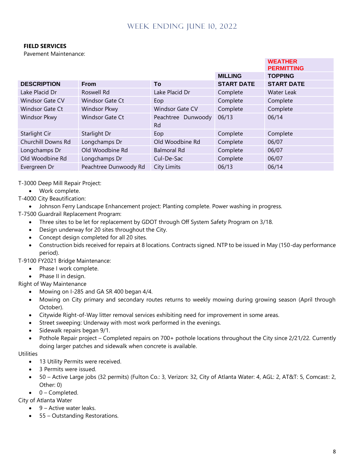#### **FIELD SERVICES**

Pavement Maintenance:

|                        |                        |                                 |                   | <b>WEATHER</b><br><b>PERMITTING</b> |
|------------------------|------------------------|---------------------------------|-------------------|-------------------------------------|
|                        |                        |                                 | <b>MILLING</b>    | <b>TOPPING</b>                      |
| <b>DESCRIPTION</b>     | <b>From</b>            | To                              | <b>START DATE</b> | <b>START DATE</b>                   |
| Lake Placid Dr         | Roswell Rd             | Lake Placid Dr                  | Complete          | Water Leak                          |
| <b>Windsor Gate CV</b> | Windsor Gate Ct        | Eop                             | Complete          | Complete                            |
| <b>Windsor Gate Ct</b> | Windsor Pkwy           | <b>Windsor Gate CV</b>          | Complete          | Complete                            |
| <b>Windsor Pkwy</b>    | <b>Windsor Gate Ct</b> | Peachtree Dunwoody<br><b>Rd</b> | 06/13             | 06/14                               |
| Starlight Cir          | Starlight Dr           | Eop                             | Complete          | Complete                            |
| Churchill Downs Rd     | Longchamps Dr          | Old Woodbine Rd                 | Complete          | 06/07                               |
| Longchamps Dr          | Old Woodbine Rd        | <b>Balmoral Rd</b>              | Complete          | 06/07                               |
| Old Woodbine Rd        | Longchamps Dr          | Cul-De-Sac                      | Complete          | 06/07                               |
| Evergreen Dr           | Peachtree Dunwoody Rd  | City Limits                     | 06/13             | 06/14                               |

T-3000 Deep Mill Repair Project:

- Work complete.
- T-4000 City Beautification:
	- Johnson Ferry Landscape Enhancement project: Planting complete. Power washing in progress.
- T-7500 Guardrail Replacement Program:
	- Three sites to be let for replacement by GDOT through Off System Safety Program on 3/18.
	- Design underway for 20 sites throughout the City.
	- Concept design completed for all 20 sites.
	- Construction bids received for repairs at 8 locations. Contracts signed. NTP to be issued in May (150-day performance period).

T-9100 FY2021 Bridge Maintenance:

- Phase I work complete.
- Phase II in design.

Right of Way Maintenance

- Mowing on I-285 and GA SR 400 began 4/4.
- Mowing on City primary and secondary routes returns to weekly mowing during growing season (April through October).
- Citywide Right-of-Way litter removal services exhibiting need for improvement in some areas.
- Street sweeping: Underway with most work performed in the evenings.
- Sidewalk repairs began 9/1.
- Pothole Repair project Completed repairs on 700+ pothole locations throughout the City since 2/21/22. Currently doing larger patches and sidewalk when concrete is available.

#### **Utilities**

- 13 Utility Permits were received.
- 3 Permits were issued.
- 50 Active Large jobs (32 permits) (Fulton Co.: 3, Verizon: 32, City of Atlanta Water: 4, AGL: 2, AT&T: 5, Comcast: 2, Other: 0)
- $\bullet$  0 Completed.

City of Atlanta Water

- 9 Active water leaks.
- 55 Outstanding Restorations.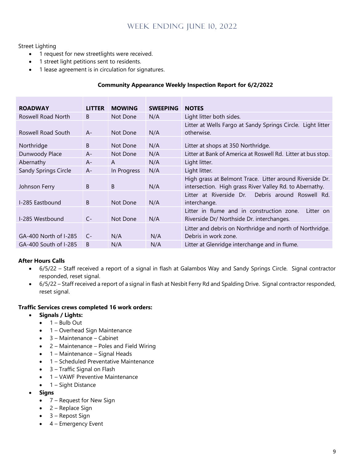#### Street Lighting

- 1 request for new streetlights were received.
- 1 street light petitions sent to residents.
- 1 lease agreement is in circulation for signatures.

#### **Community Appearance Weekly Inspection Report for 6/2/2022**

| <b>ROADWAY</b>        | <b>LITTER</b> | <b>MOWING</b> | <b>SWEEPING</b> | <b>NOTES</b>                                                                                                        |
|-----------------------|---------------|---------------|-----------------|---------------------------------------------------------------------------------------------------------------------|
| Roswell Road North    | <sub>B</sub>  | Not Done      | N/A             | Light litter both sides.                                                                                            |
| Roswell Road South    | $A -$         | Not Done      | N/A             | Litter at Wells Fargo at Sandy Springs Circle. Light litter<br>otherwise.                                           |
| Northridge            | B             | Not Done      | N/A             | Litter at shops at 350 Northridge.                                                                                  |
| Dunwoody Place        | $A -$         | Not Done      | N/A             | Litter at Bank of America at Roswell Rd. Litter at bus stop.                                                        |
| Abernathy             | $A -$         | A             | N/A             | Light litter.                                                                                                       |
| Sandy Springs Circle  | $A -$         | In Progress   | N/A             | Light litter.                                                                                                       |
| Johnson Ferry         | <sub>B</sub>  | B.            | N/A             | High grass at Belmont Trace. Litter around Riverside Dr.<br>intersection. High grass River Valley Rd. to Abernathy. |
| I-285 Eastbound       | <sub>B</sub>  | Not Done      | N/A             | Debris around Roswell Rd.<br>Litter at Riverside Dr.<br>interchange.                                                |
| I-285 Westbound       | $C -$         | Not Done      | N/A             | Litter in flume and in construction zone.<br>Litter on<br>Riverside Dr/ Northside Dr. interchanges.                 |
| GA-400 North of I-285 | $C-$          | N/A           | N/A             | Litter and debris on Northridge and north of Northridge.<br>Debris in work zone.                                    |
| GA-400 South of I-285 | B             | N/A           | N/A             | Litter at Glenridge interchange and in flume.                                                                       |

#### **After Hours Calls**

- 6/5/22 Staff received a report of a signal in flash at Galambos Way and Sandy Springs Circle. Signal contractor responded, reset signal.
- 6/5/22 Staff received a report of a signal in flash at Nesbit Ferry Rd and Spalding Drive. Signal contractor responded, reset signal.

#### **Traffic Services crews completed 16 work orders:**

- **Signals / Lights:**
	- $\bullet$  1 Bulb Out
	- 1 Overhead Sign Maintenance
	- 3 Maintenance Cabinet
	- 2 Maintenance Poles and Field Wiring
	- 1 Maintenance Signal Heads
	- 1 Scheduled Preventative Maintenance
	- 3 Traffic Signal on Flash
	- 1 VAWF Preventive Maintenance
	- 1 Sight Distance
- **Signs**
	- 7 Request for New Sign
	- $\bullet$  2 Replace Sign
	- $\bullet$  3 Repost Sign
	- $\bullet$  4 Emergency Event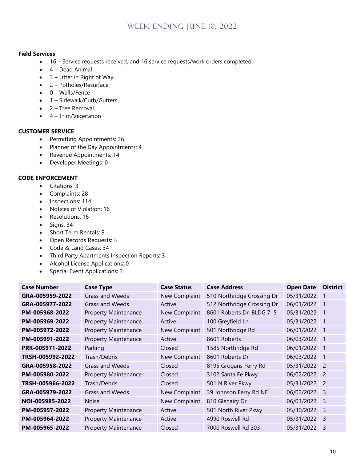#### **Field Services**

- 16 Service requests received, and 16 service requests/work orders completed
- 4 Dead Animal
- $\bullet$  3 Litter in Right of Way
- 2 Potholes/Resurface
- 0 Walls/Fence
- 1 Sidewalk/Curb/Gutters
- 2 Tree Removal
- 4 Trim/Vegetation

#### **CUSTOMER SERVICE**

- Permitting Appointments: 36
- Planner of the Day Appointments: 4
- Revenue Appointments: 14
- Developer Meetings: 0

#### **CODE ENFORCEMENT**

- Citations: 3
- Complaints: 28
- Inspections: 114
- Notices of Violation: 16
- Resolutions: 16
- Signs: 34
- Short Term Rentals: 9
- Open Records Requests: 3
- Code & Land Cases: 34
- Third Party Apartments Inspection Reports: 3
- Alcohol License Applications: 0
- Special Event Applications: 3

| <b>Case Number</b> | <b>Case Type</b>            | <b>Case Status</b> | <b>Case Address</b>        | <b>Open Date</b> | <b>District</b>         |
|--------------------|-----------------------------|--------------------|----------------------------|------------------|-------------------------|
| GRA-005959-2022    | <b>Grass and Weeds</b>      | New Complaint      | 510 Northridge Crossing Dr | 05/31/2022       | $\blacksquare$          |
| GRA-005977-2022    | Grass and Weeds             | Active             | 512 Northridge Crossing Dr | 06/01/2022       | $\blacksquare$ 1        |
| PM-005968-2022     | <b>Property Maintenance</b> | New Complaint      | 8601 Roberts Dr, BLDG 7 5  | 05/31/2022       | $\overline{1}$          |
| PM-005969-2022     | <b>Property Maintenance</b> | Active             | 100 Greyfield Ln           | 05/31/2022       | $\blacksquare$ 1        |
| PM-005972-2022     | <b>Property Maintenance</b> | New Complaint      | 501 Northridge Rd          | 06/01/2022       | 1                       |
| PM-005991-2022     | <b>Property Maintenance</b> | Active             | 8601 Roberts               | 06/03/2022       | $\blacksquare$ 1        |
| PRK-005971-2022    | Parking                     | Closed             | 1585 Northridge Rd         | 06/01/2022       | $\blacksquare$ 1        |
| TRSH-005992-2022   | Trash/Debris                | New Complaint      | 8601 Roberts Dr            | 06/03/2022       | $\blacksquare$          |
| GRA-005958-2022    | Grass and Weeds             | Closed             | 8195 Grogans Ferry Rd      | 05/31/2022 2     |                         |
| PM-005980-2022     | <b>Property Maintenance</b> | Closed             | 3102 Santa Fe Pkwy         | 06/02/2022 2     |                         |
| TRSH-005966-2022   | Trash/Debris                | Closed             | 501 N River Pkwy           | 05/31/2022       | $\overline{2}$          |
| GRA-005979-2022    | Grass and Weeds             | New Complaint      | 39 Johnson Ferry Rd NE     | 06/02/2022       | $\overline{\mathbf{3}}$ |
| NOI-005985-2022    | <b>Noise</b>                | New Complaint      | 810 Glenairy Dr            | 06/03/2022       | - 3                     |
| PM-005957-2022     | <b>Property Maintenance</b> | Active             | 501 North River Pkwy       | 05/30/2022 3     |                         |
| PM-005964-2022     | <b>Property Maintenance</b> | Active             | 4990 Roswell Rd            | 05/31/2022       | - 3                     |
| PM-005965-2022     | <b>Property Maintenance</b> | Closed             | 7000 Roswell Rd 303        | 05/31/2022       | -3                      |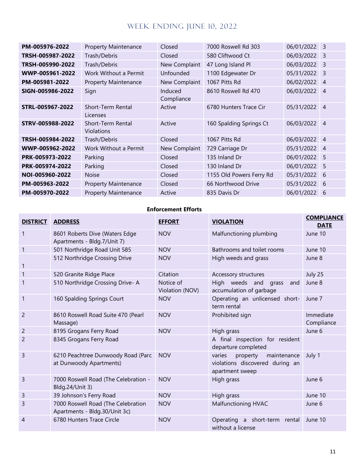| PM-005976-2022   | <b>Property Maintenance</b>     | Closed                | 7000 Roswell Rd 303      | 06/01/2022   | $\overline{3}$ |
|------------------|---------------------------------|-----------------------|--------------------------|--------------|----------------|
| TRSH-005987-2022 | Trash/Debris                    | Closed                | 580 Cliftwood Ct         | 06/03/2022   | $\overline{3}$ |
| TRSH-005990-2022 | Trash/Debris                    | New Complaint         | 47 Long Island Pl        | 06/03/2022   | 3              |
| WWP-005961-2022  | Work Without a Permit           | Unfounded             | 1100 Edgewater Dr        | 05/31/2022   | $\overline{3}$ |
| PM-005981-2022   | <b>Property Maintenance</b>     | New Complaint         | 1067 Pitts Rd            | 06/02/2022   | $\overline{4}$ |
| SIGN-005986-2022 | Sign                            | Induced<br>Compliance | 8610 Roswell Rd 470      | 06/03/2022 4 |                |
| STRL-005967-2022 | Short-Term Rental<br>Licenses   | Active                | 6780 Hunters Trace Cir   | 05/31/2022   | $\vert$ 4      |
| STRV-005988-2022 | Short-Term Rental<br>Violations | Active                | 160 Spalding Springs Ct  | 06/03/2022   | $\overline{4}$ |
| TRSH-005984-2022 | Trash/Debris                    | Closed                | 1067 Pitts Rd            | 06/03/2022   | $\vert$ 4      |
| WWP-005962-2022  | Work Without a Permit           | New Complaint         | 729 Carriage Dr          | 05/31/2022   | $\overline{4}$ |
| PRK-005973-2022  | Parking                         | Closed                | 135 Inland Dr            | 06/01/2022   | 5              |
| PRK-005974-2022  | Parking                         | Closed                | 130 Inland Dr            | 06/01/2022   | -5             |
| NOI-005960-2022  | <b>Noise</b>                    | Closed                | 1155 Old Powers Ferry Rd | 05/31/2022   | - 6            |
| PM-005963-2022   | <b>Property Maintenance</b>     | Closed                | 66 Northwood Drive       | 05/31/2022   | - 6            |
| PM-005970-2022   | <b>Property Maintenance</b>     | Active                | 835 Davis Dr             | 06/01/2022   | 6              |

#### **Enforcement Efforts**

| <b>DISTRICT</b> | <b>ADDRESS</b>                                                      | <b>EFFORT</b>                | <b>VIOLATION</b>                                                                        | <b>COMPLIANCE</b><br><b>DATE</b> |
|-----------------|---------------------------------------------------------------------|------------------------------|-----------------------------------------------------------------------------------------|----------------------------------|
| 1               | 8601 Roberts Dive (Waters Edge<br>Apartments - Bldg.7/Unit 7)       | <b>NOV</b>                   | Malfunctioning plumbing                                                                 | June 10                          |
| 1               | 501 Northridge Road Unit 585                                        | <b>NOV</b>                   | Bathrooms and toilet rooms                                                              | June 10                          |
| 1               | 512 Northridge Crossing Drive                                       | <b>NOV</b>                   | High weeds and grass                                                                    | June 8                           |
| 1               | 520 Granite Ridge Place                                             | Citation                     | Accessory structures                                                                    | July 25                          |
|                 | 510 Northridge Crossing Drive- A                                    | Notice of<br>Violation (NOV) | High weeds and<br>and<br>grass<br>accumulation of garbage                               | June 8                           |
| 1               | 160 Spalding Springs Court                                          | <b>NOV</b>                   | Operating an unlicensed short-<br>term rental                                           | June 7                           |
| 2               | 8610 Roswell Road Suite 470 (Pearl<br>Massage)                      | <b>NOV</b>                   | Prohibited sign                                                                         | Immediate<br>Compliance          |
| 2               | 8195 Grogans Ferry Road                                             | <b>NOV</b>                   | High grass                                                                              | June 6                           |
| 2               | 8345 Grogans Ferry Road                                             |                              | A final inspection for resident<br>departure completed                                  |                                  |
| 3               | 6210 Peachtree Dunwoody Road (Parc<br>at Dunwoody Apartments)       | <b>NOV</b>                   | varies<br>property<br>maintenance<br>violations discovered during an<br>apartment sweep | July 1                           |
| 3               | 7000 Roswell Road (The Celebration -<br>Bldg.24/Unit 3)             | <b>NOV</b>                   | High grass                                                                              | June 6                           |
| 3               | 39 Johnson's Ferry Road                                             | <b>NOV</b>                   | High grass                                                                              | June 10                          |
| 3               | 7000 Roswell Road (The Celebration<br>Apartments - Bldg.30/Unit 3c) | <b>NOV</b>                   | Malfunctioning HVAC                                                                     | June 6                           |
| 4               | 6780 Hunters Trace Circle                                           | <b>NOV</b>                   | Operating a short-term rental<br>without a license                                      | June 10                          |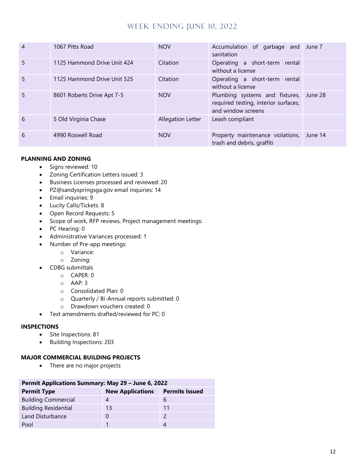| $\overline{4}$ | 1067 Pitts Road             | <b>NOV</b>        | Accumulation of garbage and June 7<br>sanitation                                                     |         |
|----------------|-----------------------------|-------------------|------------------------------------------------------------------------------------------------------|---------|
| 5              | 1125 Hammond Drive Unit 424 | Citation          | Operating a short-term rental<br>without a license                                                   |         |
| 5              | 1125 Hammond Drive Unit 525 | Citation          | Operating a short-term rental<br>without a license                                                   |         |
| 5              | 8601 Roberts Drive Apt 7-5  | <b>NOV</b>        | Plumbing systems and fixtures, June 28<br>required testing, interior surfaces,<br>and window screens |         |
| 6              | 5 Old Virginia Chase        | Allegation Letter | Leash compliant                                                                                      |         |
| 6              | 4990 Roswell Road           | <b>NOV</b>        | Property maintenance violations,<br>trash and debris, graffiti                                       | June 14 |

#### **PLANNING AND ZONING**

- Signs reviewed: 10
- Zoning Certification Letters issued: 3
- Business Licenses processed and reviewed: 20
- PZ@sandyspringsga.gov email inquiries: 14
- Email inquiries: 9
- Lucity Calls/Tickets: 8
- Open Record Requests: 5
- Scope of work, RFP reviews, Project management meetings:
- PC Hearing: 0
- Administrative Variances processed: 1
- Number of Pre-app meetings:
	- o Variance:
	- o Zoning:
- CDBG submittals
	- o CAPER: 0
	- o AAP: 3
	- o Consolidated Plan: 0
	- o Quarterly / Bi-Annual reports submitted: 0
	- o Drawdown vouchers created: 0
- Text amendments drafted/reviewed for PC: 0

#### **INSPECTIONS**

- Site Inspections: 81
- Building Inspections: 203

## **MAJOR COMMERCIAL BUILDING PROJECTS**

• There are no major projects

| Permit Applications Summary: May 29 - June 6, 2022 |                         |                       |  |  |  |
|----------------------------------------------------|-------------------------|-----------------------|--|--|--|
| <b>Permit Type</b>                                 | <b>New Applications</b> | <b>Permits Issued</b> |  |  |  |
| <b>Building Commercial</b>                         |                         | b                     |  |  |  |
| <b>Building Residential</b>                        | 13                      | 11                    |  |  |  |
| Land Disturbance                                   |                         |                       |  |  |  |
| Pool                                               |                         |                       |  |  |  |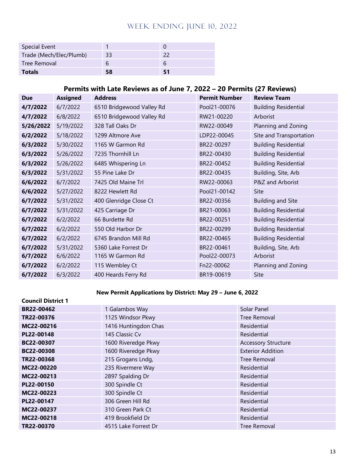| <b>Special Event</b>    |    |    |
|-------------------------|----|----|
| Trade (Mech/Elec/Plumb) | 33 |    |
| Tree Removal            |    | h  |
| <b>Totals</b>           | 58 | 51 |

## **Permits with Late Reviews as of June 7, 2022 – 20 Permits (27 Reviews)**

| <b>Due</b> | <b>Assigned</b> | <b>Address</b>            | <b>Permit Number</b> | <b>Review Team</b>          |
|------------|-----------------|---------------------------|----------------------|-----------------------------|
| 4/7/2022   | 6/7/2022        | 6510 Bridgewood Valley Rd | Pool21-00076         | <b>Building Residential</b> |
| 4/7/2022   | 6/8/2022        | 6510 Bridgewood Valley Rd | RW21-00220           | Arborist                    |
| 5/26/2022  | 5/19/2022       | 328 Tall Oaks Dr          | RW22-00049           | Planning and Zoning         |
| 6/2/2022   | 5/18/2022       | 1299 Altmore Ave          | LDP22-00045          | Site and Transportation     |
| 6/3/2022   | 5/30/2022       | 1165 W Garmon Rd          | BR22-00297           | <b>Building Residential</b> |
| 6/3/2022   | 5/26/2022       | 7235 Thornhill Ln         | BR22-00430           | <b>Building Residential</b> |
| 6/3/2022   | 5/26/2022       | 6485 Whispering Ln        | BR22-00452           | <b>Building Residential</b> |
| 6/3/2022   | 5/31/2022       | 55 Pine Lake Dr           | BR22-00435           | Building, Site, Arb         |
| 6/6/2022   | 6/7/2022        | 7425 Old Maine Trl        | RW22-00063           | P&Z and Arborist            |
| 6/6/2022   | 5/27/2022       | 8222 Hewlett Rd           | Pool21-00142         | Site                        |
| 6/7/2022   | 5/31/2022       | 400 Glenridge Close Ct    | BR22-00356           | <b>Building and Site</b>    |
| 6/7/2022   | 5/31/2022       | 425 Carriage Dr           | BR21-00063           | <b>Building Residential</b> |
| 6/7/2022   | 6/2/2022        | 66 Burdette Rd            | BR22-00251           | <b>Building Residential</b> |
| 6/7/2022   | 6/2/2022        | 550 Old Harbor Dr         | BR22-00299           | <b>Building Residential</b> |
| 6/7/2022   | 6/2/2022        | 6745 Brandon Mill Rd      | BR22-00465           | <b>Building Residential</b> |
| 6/7/2022   | 5/31/2022       | 5360 Lake Forrest Dr      | BR22-00461           | Building, Site, Arb         |
| 6/7/2022   | 6/6/2022        | 1165 W Garmon Rd          | Pool22-00073         | Arborist                    |
| 6/7/2022   | 6/2/2022        | 115 Wembley Ct            | Fn22-00062           | Planning and Zoning         |
| 6/7/2022   | 6/3/2022        | 400 Heards Ferry Rd       | BR19-00619           | Site                        |

#### **New Permit Applications by District: May 29 – June 6, 2022**

| <b>Council District 1</b> |                      |                            |
|---------------------------|----------------------|----------------------------|
| BR22-00462                | 1 Galambos Way       | Solar Panel                |
| TR22-00376                | 1125 Windsor Pkwy    | Tree Removal               |
| MC22-00216                | 1416 Huntingdon Chas | Residential                |
| PL22-00148                | 145 Classic Cv       | Residential                |
| BC22-00307                | 1600 Riveredge Pkwy  | <b>Accessory Structure</b> |
| BC22-00308                | 1600 Riveredge Pkwy  | <b>Exterior Addition</b>   |
| TR22-00368                | 215 Grogans Lndg,    | Tree Removal               |
| MC22-00220                | 235 Rivermere Way    | Residential                |
| MC22-00213                | 2897 Spalding Dr     | Residential                |
| PL22-00150                | 300 Spindle Ct       | Residential                |
| MC22-00223                | 300 Spindle Ct       | Residential                |
| PL22-00147                | 306 Green Hill Rd    | Residential                |
| MC22-00237                | 310 Green Park Ct    | Residential                |
| MC22-00218                | 419 Brookfield Dr    | Residential                |
| TR22-00370                | 4515 Lake Forrest Dr | Tree Removal               |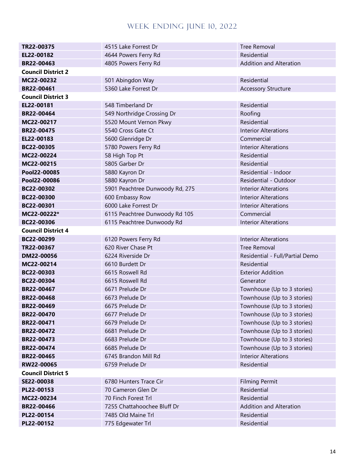| TR22-00375                | 4515 Lake Forrest Dr            | <b>Tree Removal</b>             |  |
|---------------------------|---------------------------------|---------------------------------|--|
| EL22-00182                | 4644 Powers Ferry Rd            | Residential                     |  |
| BR22-00463                | 4805 Powers Ferry Rd            | <b>Addition and Alteration</b>  |  |
| <b>Council District 2</b> |                                 |                                 |  |
| MC22-00232                | 501 Abingdon Way                | Residential                     |  |
| BR22-00461                | 5360 Lake Forrest Dr            | <b>Accessory Structure</b>      |  |
| <b>Council District 3</b> |                                 |                                 |  |
| EL22-00181                | 548 Timberland Dr               | Residential                     |  |
| BR22-00464                | 549 Northridge Crossing Dr      | Roofing                         |  |
| MC22-00217                | 5520 Mount Vernon Pkwy          | Residential                     |  |
| <b>BR22-00475</b>         | 5540 Cross Gate Ct              | <b>Interior Alterations</b>     |  |
| EL22-00183                | 5600 Glenridge Dr               | Commercial                      |  |
| BC22-00305                | 5780 Powers Ferry Rd            | <b>Interior Alterations</b>     |  |
| MC22-00224                | 58 High Top Pt                  | Residential                     |  |
| MC22-00215                | 5805 Garber Dr                  | Residential                     |  |
| Pool22-00085              | 5880 Kayron Dr                  | Residential - Indoor            |  |
| Pool22-00086              | 5880 Kayron Dr                  | Residential - Outdoor           |  |
| BC22-00302                | 5901 Peachtree Dunwoody Rd, 275 | <b>Interior Alterations</b>     |  |
| BC22-00300                | 600 Embassy Row                 | <b>Interior Alterations</b>     |  |
| BC22-00301                | 6000 Lake Forrest Dr            | <b>Interior Alterations</b>     |  |
| MC22-00222*               | 6115 Peachtree Dunwoody Rd 105  | Commercial                      |  |
| BC22-00306                | 6115 Peachtree Dunwoody Rd      | <b>Interior Alterations</b>     |  |
| <b>Council District 4</b> |                                 |                                 |  |
| BC22-00299                | 6120 Powers Ferry Rd            | <b>Interior Alterations</b>     |  |
| TR22-00367                | 620 River Chase Pt              | <b>Tree Removal</b>             |  |
| DM22-00056                | 6224 Riverside Dr               | Residential - Full/Partial Demo |  |
| MC22-00214                | 6610 Burdett Dr                 | Residential                     |  |
| BC22-00303                | 6615 Roswell Rd                 | <b>Exterior Addition</b>        |  |
| BC22-00304                | 6615 Roswell Rd                 | Generator                       |  |
| BR22-00467                | 6671 Prelude Dr                 | Townhouse (Up to 3 stories)     |  |
| BR22-00468                | 6673 Prelude Dr                 | Townhouse (Up to 3 stories)     |  |
| BR22-00469                | 6675 Prelude Dr                 | Townhouse (Up to 3 stories)     |  |
| BR22-00470                | 6677 Prelude Dr                 | Townhouse (Up to 3 stories)     |  |
| BR22-00471                | 6679 Prelude Dr                 | Townhouse (Up to 3 stories)     |  |
| BR22-00472                | 6681 Prelude Dr                 | Townhouse (Up to 3 stories)     |  |
| BR22-00473                | 6683 Prelude Dr                 | Townhouse (Up to 3 stories)     |  |
| BR22-00474                | 6685 Prelude Dr                 | Townhouse (Up to 3 stories)     |  |
| BR22-00465                | 6745 Brandon Mill Rd            | <b>Interior Alterations</b>     |  |
| RW22-00065                | 6759 Prelude Dr                 | Residential                     |  |
| <b>Council District 5</b> |                                 |                                 |  |
| SE22-00038                | 6780 Hunters Trace Cir          | <b>Filming Permit</b>           |  |
| PL22-00153                | 70 Cameron Glen Dr              | Residential                     |  |
| MC22-00234                | 70 Finch Forest Trl             | Residential                     |  |
| BR22-00466                | 7255 Chattahoochee Bluff Dr     | <b>Addition and Alteration</b>  |  |
| PL22-00154                | 7485 Old Maine Trl              | Residential                     |  |
| PL22-00152                | 775 Edgewater Trl               | Residential                     |  |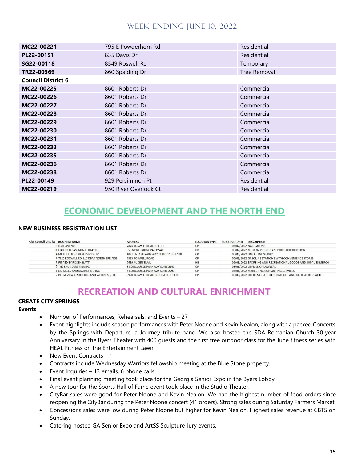| MC22-00221                | 795 E Powderhorn Rd   | Residential         |
|---------------------------|-----------------------|---------------------|
| PL22-00151                | 835 Davis Dr          | Residential         |
| SG22-00118                | 8549 Roswell Rd       | Temporary           |
| TR22-00369                | 860 Spalding Dr       | <b>Tree Removal</b> |
| <b>Council District 6</b> |                       |                     |
| MC22-00225                | 8601 Roberts Dr       | Commercial          |
| MC22-00226                | 8601 Roberts Dr       | Commercial          |
| MC22-00227                | 8601 Roberts Dr       | Commercial          |
| MC22-00228                | 8601 Roberts Dr       | Commercial          |
| MC22-00229                | 8601 Roberts Dr       | Commercial          |
| MC22-00230                | 8601 Roberts Dr       | Commercial          |
| MC22-00231                | 8601 Roberts Dr       | Commercial          |
| MC22-00233                | 8601 Roberts Dr       | Commercial          |
| MC22-00235                | 8601 Roberts Dr       | Commercial          |
| MC22-00236                | 8601 Roberts Dr       | Commercial          |
| MC22-00238                | 8601 Roberts Dr       | Commercial          |
| PL22-00149                | 929 Persimmon Pt      | Residential         |
| MC22-00219                | 950 River Overlook Ct | Residential         |

# **ECONOMIC DEVELOPMENT AND THE NORTH END**

#### **NEW BUSINESS REGISTRATION LIST**

| <b>City Council District BUSINESS NAME</b> |                                           | <b>ADDRESS</b>                        | <b>LOCATION TYPE</b> | <b>BUS START DATE DESCRIPTION</b>                             |
|--------------------------------------------|-------------------------------------------|---------------------------------------|----------------------|---------------------------------------------------------------|
|                                            | 4 NAIL AVENUE                             | 7875 ROSWELL ROAD SUITE E             | СP                   | 06/02/2022 NAIL SALONS                                        |
|                                            | 1 FLOODED BASEMENT FILMS LLC              | 550 NORTHRIDGE PARKWAY                | <b>HB</b>            | 06/02/2022 MOTION PICTURE AND VIDEO PRODUCTION                |
|                                            | 4 MILLER ELITE CAR SERVICES LLC           | 10 GLENLAKE PARKWAY BUILD S SUITE 130 | <b>CP</b>            | 06/02/2022 LIMOUSINE SERVICE                                  |
|                                            | 4 7325 ROSWELL RD. LLC DBA/ NORTH SPRINGS | 7325 ROSWELL ROAD                     |                      | 06/03/2022 GASOLINE STATIONS WITH CONVENIENCE STORES          |
|                                            | <b>L RIPPED BY ROSENBLATT</b>             | 7639 AUDEN TRAIL                      | <b>HB</b>            | 06/03/2022 SPORTING AND RECREATIONAL GOODS AND SUPPLIES MERCH |
|                                            | 5 THE SAUNDERS FIRM PC                    | 6 CONCOURSE PARKWAY SUITE 2140        | CP                   | 06/06/2022 OFFICES OF LAWYERS                                 |
|                                            | 5 LIG SALES AND MARKETING INC             | 6 CONCOURSE PARKWAY SUITE 2990        |                      | 06/06/2022 MARKETING CONSULTING SERVICES                      |
|                                            | 3 BELLA VITA AESTHETICS AND WELLNESS, LLC | 5920 ROSWELL ROAD BUILD A SUITE 116   | CP                   | 06/07/2022 OFFICES OF ALL OTHER MISCELLANEOUS HEALTH PRACTITI |

## **RECREATION AND CULTURAL ENRICHMENT**

## **CREATE CITY SPRINGS**

#### **Events**

- Number of Performances, Rehearsals, and Events 27
- Event highlights include season performances with Peter Noone and Kevin Nealon, along with a packed Concerts by the Springs with Departure, a Journey tribute band. We also hosted the SDA Romanian Church 30 year Anniversary in the Byers Theater with 400 guests and the first free outdoor class for the June fitness series with HEAL Fitness on the Entertainment Lawn.
- New Event Contracts  $-1$
- Contracts include Wednesday Warriors fellowship meeting at the Blue Stone property.
- Event Inquiries 13 emails, 6 phone calls
- Final event planning meeting took place for the Georgia Senior Expo in the Byers Lobby.
- A new tour for the Sports Hall of Fame event took place in the Studio Theater.
- CityBar sales were good for Peter Noone and Kevin Nealon. We had the highest number of food orders since reopening the CityBar during the Peter Noone concert (41 orders). Strong sales during Saturday Farmers Market.
- Concessions sales were low during Peter Noone but higher for Kevin Nealon. Highest sales revenue at CBTS on Sunday.
- Catering hosted GA Senior Expo and ArtSS Sculpture Jury events.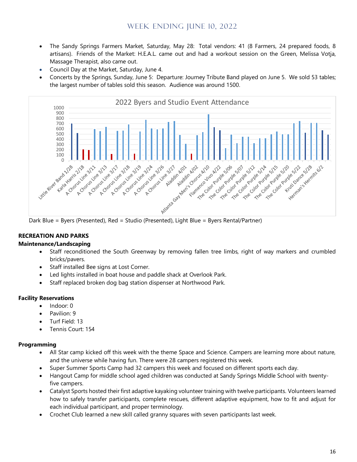- The Sandy Springs Farmers Market, Saturday, May 28: Total vendors: 41 (8 Farmers, 24 prepared foods, 8 artisans). Friends of the Market: H.E.A.L. came out and had a workout session on the Green, Melissa Votja, Massage Therapist, also came out.
- Council Day at the Market, Saturday, June 4.
- Concerts by the Springs, Sunday, June 5: Departure: Journey Tribute Band played on June 5. We sold 53 tables; the largest number of tables sold this season. Audience was around 1500.



Dark Blue = Byers (Presented), Red = Studio (Presented), Light Blue = Byers Rental/Partner)

#### **RECREATION AND PARKS**

#### **Maintenance/Landscaping**

- Staff reconditioned the South Greenway by removing fallen tree limbs, right of way markers and crumbled bricks/pavers.
- Staff installed Bee signs at Lost Corner.
- Led lights installed in boat house and paddle shack at Overlook Park.
- Staff replaced broken dog bag station dispenser at Northwood Park.

#### **Facility Reservations**

- Indoor: 0
- Pavilion: 9
- Turf Field: 13
- Tennis Court: 154

#### **Programming**

- All Star camp kicked off this week with the theme Space and Science. Campers are learning more about nature, and the universe while having fun. There were 28 campers registered this week.
- Super Summer Sports Camp had 32 campers this week and focused on different sports each day.
- Hangout Camp for middle school aged children was conducted at Sandy Springs Middle School with twentyfive campers.
- Catalyst Sports hosted their first adaptive kayaking volunteer training with twelve participants. Volunteers learned how to safely transfer participants, complete rescues, different adaptive equipment, how to fit and adjust for each individual participant, and proper terminology.
- Crochet Club learned a new skill called granny squares with seven participants last week.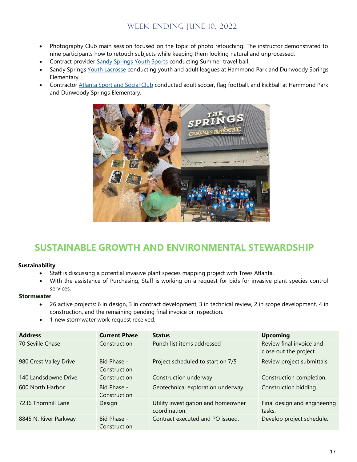- Photography Club main session focused on the topic of photo retouching. The instructor demonstrated to nine participants how to retouch subjects while keeping them looking natural and unprocessed.
- Contract provide[r Sandy Springs Youth Sports](https://www.sandyspringsyouthsports.com/) conducting Summer travel ball.
- Sandy Springs [Youth Lacrosse](https://atlantalacrosseleague.com/sandy-springs-youth/) conducting youth and adult leagues at Hammond Park and Dunwoody Springs Elementary.
- Contractor [Atlanta Sport and Social Club](https://www.atlantasportandsocialclub.com/) conducted adult soccer, flag football, and kickball at Hammond Park and Dunwoody Springs Elementary.



# **SUSTAINABLE GROWTH AND ENVIRONMENTAL STEWARDSHIP**

#### **Sustainability**

- Staff is discussing a potential invasive plant species mapping project with Trees Atlanta.
- With the assistance of Purchasing, Staff is working on a request for bids for invasive plant species control services.

#### **Stormwater**

- 26 active projects: 6 in design, 3 in contract development, 3 in technical review, 2 in scope development, 4 in construction, and the remaining pending final invoice or inspection.
- 1 new stormwater work request received.

| <b>Address</b>         | <b>Current Phase</b>        | <b>Status</b>                                        | <b>Upcoming</b>                                    |
|------------------------|-----------------------------|------------------------------------------------------|----------------------------------------------------|
| 70 Seville Chase       | Construction                | Punch list items addressed                           | Review final invoice and<br>close out the project. |
| 980 Crest Valley Drive | Bid Phase -<br>Construction | Project scheduled to start on 7/5                    | Review project submittals                          |
| 140 Landsdowne Drive   | Construction                | Construction underway                                | Construction completion.                           |
| 600 North Harbor       | Bid Phase -<br>Construction | Geotechnical exploration underway.                   | Construction bidding.                              |
| 7236 Thornhill Lane    | Design                      | Utility investigation and homeowner<br>coordination. | Final design and engineering<br>tasks.             |
| 8845 N. River Parkway  | Bid Phase -<br>Construction | Contract executed and PO issued.                     | Develop project schedule.                          |